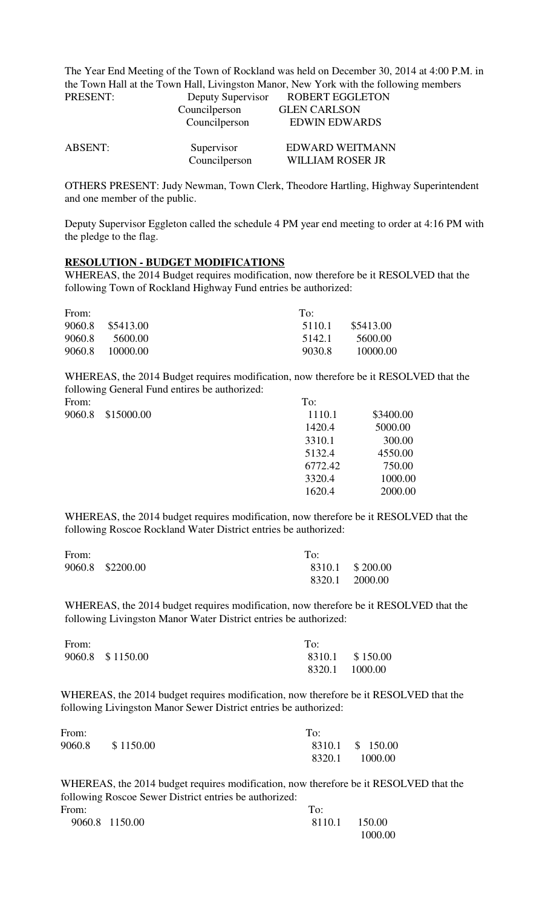The Year End Meeting of the Town of Rockland was held on December 30, 2014 at 4:00 P.M. in the Town Hall at the Town Hall, Livingston Manor, New York with the following members<br>
DOPERT EGGI ETON **POREDT EGGLETON** 

| PRESENI:       | Deputy Supervisor<br>Councilperson           | KUBEKI EUULEIUN<br><b>GLEN CARLSON</b><br><b>EDWIN EDWARDS</b> |
|----------------|----------------------------------------------|----------------------------------------------------------------|
| <b>ABSENT:</b> | Councilperson<br>Supervisor<br>Councilperson | EDWARD WEITMANN<br><b>WILLIAM ROSER JR</b>                     |

OTHERS PRESENT: Judy Newman, Town Clerk, Theodore Hartling, Highway Superintendent and one member of the public.

Deputy Supervisor Eggleton called the schedule 4 PM year end meeting to order at 4:16 PM with the pledge to the flag.

## **RESOLUTION - BUDGET MODIFICATIONS**

WHEREAS, the 2014 Budget requires modification, now therefore be it RESOLVED that the following Town of Rockland Highway Fund entries be authorized:

| From:  |            | To:    |           |
|--------|------------|--------|-----------|
| 9060.8 | \$5413.00  | 5110.1 | \$5413.00 |
| 9060.8 | 5600.00    | 5142.1 | 5600.00   |
| 9060.8 | -10000.00- | 9030.8 | 10000.00  |

WHEREAS, the 2014 Budget requires modification, now therefore be it RESOLVED that the following General Fund entires be authorized:

| From:  |            | To:     |           |
|--------|------------|---------|-----------|
| 9060.8 | \$15000.00 | 1110.1  | \$3400.00 |
|        |            | 1420.4  | 5000.00   |
|        |            | 3310.1  | 300.00    |
|        |            | 5132.4  | 4550.00   |
|        |            | 6772.42 | 750.00    |
|        |            | 3320.4  | 1000.00   |
|        |            | 1620.4  | 2000.00   |
|        |            |         |           |

WHEREAS, the 2014 budget requires modification, now therefore be it RESOLVED that the following Roscoe Rockland Water District entries be authorized:

| From: |                  | To:            |                 |
|-------|------------------|----------------|-----------------|
|       | 9060.8 \$2200.00 |                | 8310.1 \$200.00 |
|       |                  | 8320.1 2000.00 |                 |

WHEREAS, the 2014 budget requires modification, now therefore be it RESOLVED that the following Livingston Manor Water District entries be authorized:

| From: |                  | To: |                 |
|-------|------------------|-----|-----------------|
|       | 9060.8 \$1150.00 |     | 8310.1 \$150.00 |
|       |                  |     | 8320.1 1000.00  |

WHEREAS, the 2014 budget requires modification, now therefore be it RESOLVED that the following Livingston Manor Sewer District entries be authorized:

| From:  |           | To: |                  |
|--------|-----------|-----|------------------|
| 9060.8 | \$1150.00 |     | 8310.1 \$ 150.00 |
|        |           |     | 8320.1 1000.00   |

WHEREAS, the 2014 budget requires modification, now therefore be it RESOLVED that the following Roscoe Sewer District entries be authorized:

| From: |                | To:           |         |
|-------|----------------|---------------|---------|
|       | 9060.8 1150.00 | 8110.1 150.00 |         |
|       |                |               | 1000.00 |